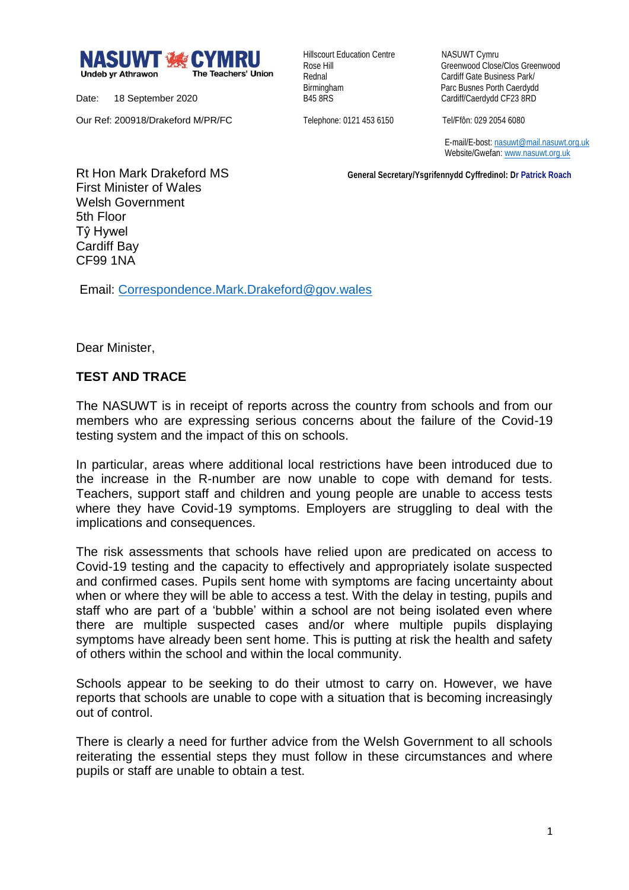

Date: 18 September 2020

Our Ref: 200918/Drakeford M/PR/FC

Hillscourt Education Centre NASUWT Cymru

Rose Hill Greenwood Close/Clos Greenwood Rednal **Cardiff Gate Business Park/** Birmingham Parc Busnes Porth Caerdydd<br>
B45 8RS<br>
Cardiff/Caerdydd CF23 8RD Cardiff/Caerdydd CF23 8RD

Telephone: 0121 453 6150 Tel/Ffôn: 029 2054 6080

 E-mail/E-bost[: nasuwt@mail.nasuwt.org.uk](mailto:nasuwt@mail.nasuwt.org.uk) Website/Gwefan[: www.nasuwt.org.uk](http://www.nasuwt.org.uk/)

 **General Secretary/Ysgrifennydd Cyffredinol: Dr Patrick Roach**

Rt Hon Mark Drakeford MS First Minister of Wales Welsh Government 5th Floor Tŷ Hywel Cardiff Bay CF99 1NA

Email: [Correspondence.Mark.Drakeford@gov.wales](mailto:Correspondence.Mark.Drakeford@gov.wales)

Dear Minister,

## **TEST AND TRACE**

The NASUWT is in receipt of reports across the country from schools and from our members who are expressing serious concerns about the failure of the Covid-19 testing system and the impact of this on schools.

In particular, areas where additional local restrictions have been introduced due to the increase in the R-number are now unable to cope with demand for tests. Teachers, support staff and children and young people are unable to access tests where they have Covid-19 symptoms. Employers are struggling to deal with the implications and consequences.

The risk assessments that schools have relied upon are predicated on access to Covid-19 testing and the capacity to effectively and appropriately isolate suspected and confirmed cases. Pupils sent home with symptoms are facing uncertainty about when or where they will be able to access a test. With the delay in testing, pupils and staff who are part of a 'bubble' within a school are not being isolated even where there are multiple suspected cases and/or where multiple pupils displaying symptoms have already been sent home. This is putting at risk the health and safety of others within the school and within the local community.

Schools appear to be seeking to do their utmost to carry on. However, we have reports that schools are unable to cope with a situation that is becoming increasingly out of control.

There is clearly a need for further advice from the Welsh Government to all schools reiterating the essential steps they must follow in these circumstances and where pupils or staff are unable to obtain a test.